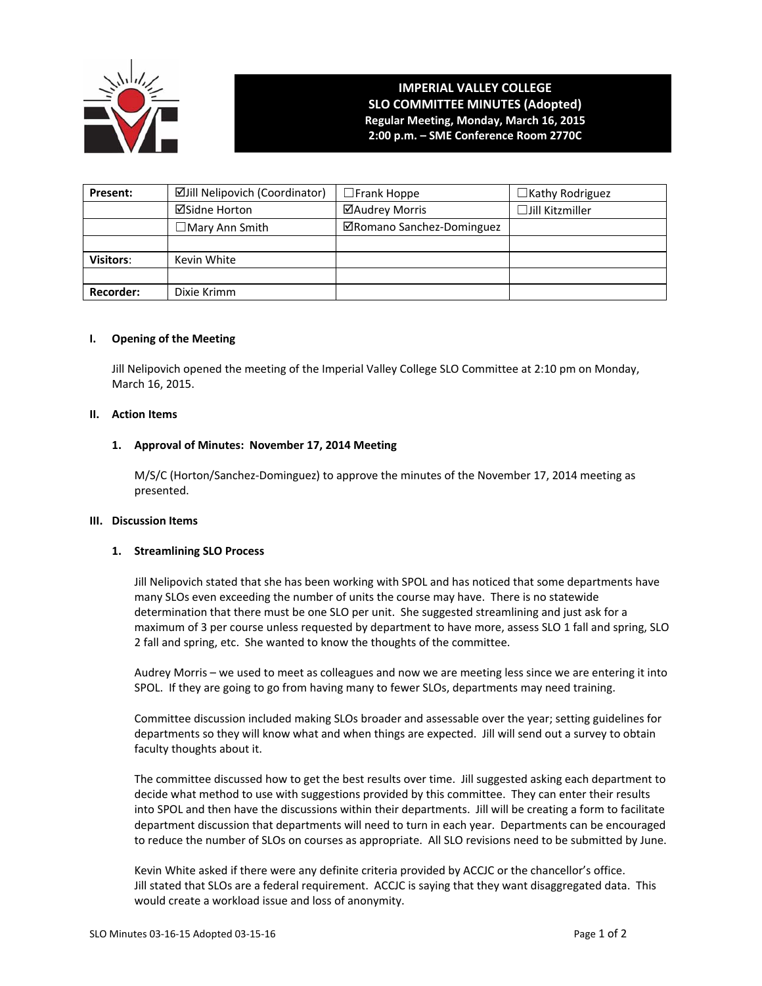

# **IMPERIAL VALLEY COLLEGE SLO COMMITTEE MINUTES (Adopted) Regular Meeting, Monday, March 16, 2015 2:00 p.m. – SME Conference Room 2770C**

| Present:         | <b>ØJill Nelipovich (Coordinator)</b> | $\square$ Frank Hoppe     | $\Box$ Kathy Rodriguez |
|------------------|---------------------------------------|---------------------------|------------------------|
|                  | <b>⊠Sidne Horton</b>                  | ⊠Audrey Morris            | $\Box$ Jill Kitzmiller |
|                  | $\Box$ Mary Ann Smith                 | ⊠Romano Sanchez-Dominguez |                        |
|                  |                                       |                           |                        |
| <b>Visitors:</b> | Kevin White                           |                           |                        |
|                  |                                       |                           |                        |
| Recorder:        | Dixie Krimm                           |                           |                        |

### **I. Opening of the Meeting**

Jill Nelipovich opened the meeting of the Imperial Valley College SLO Committee at 2:10 pm on Monday, March 16, 2015.

### **II. Action Items**

# **1. Approval of Minutes: November 17, 2014 Meeting**

M/S/C (Horton/Sanchez‐Dominguez) to approve the minutes of the November 17, 2014 meeting as presented.

## **III. Discussion Items**

### **1. Streamlining SLO Process**

Jill Nelipovich stated that she has been working with SPOL and has noticed that some departments have many SLOs even exceeding the number of units the course may have. There is no statewide determination that there must be one SLO per unit. She suggested streamlining and just ask for a maximum of 3 per course unless requested by department to have more, assess SLO 1 fall and spring, SLO 2 fall and spring, etc. She wanted to know the thoughts of the committee.

Audrey Morris – we used to meet as colleagues and now we are meeting less since we are entering it into SPOL. If they are going to go from having many to fewer SLOs, departments may need training.

Committee discussion included making SLOs broader and assessable over the year; setting guidelines for departments so they will know what and when things are expected. Jill will send out a survey to obtain faculty thoughts about it.

The committee discussed how to get the best results over time. Jill suggested asking each department to decide what method to use with suggestions provided by this committee. They can enter their results into SPOL and then have the discussions within their departments. Jill will be creating a form to facilitate department discussion that departments will need to turn in each year. Departments can be encouraged to reduce the number of SLOs on courses as appropriate. All SLO revisions need to be submitted by June.

Kevin White asked if there were any definite criteria provided by ACCJC or the chancellor's office. Jill stated that SLOs are a federal requirement. ACCJC is saying that they want disaggregated data. This would create a workload issue and loss of anonymity.